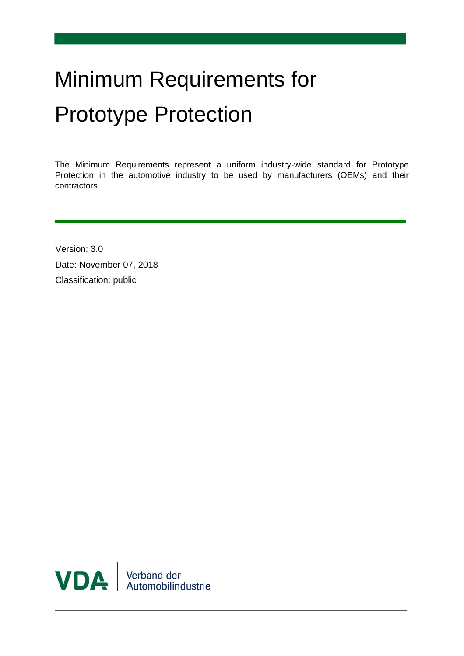# Minimum Requirements for Prototype Protection

The Minimum Requirements represent a uniform industry-wide standard for Prototype Protection in the automotive industry to be used by manufacturers (OEMs) and their contractors.

Version: 3.0 Date: November 07, 2018 Classification: public

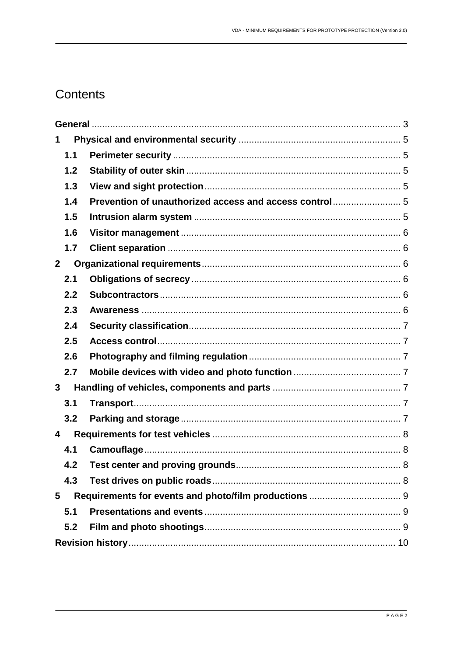# Contents

| 1              |  |  |  |  |
|----------------|--|--|--|--|
| 1.1            |  |  |  |  |
| 1.2            |  |  |  |  |
| 1.3            |  |  |  |  |
| 1.4            |  |  |  |  |
| 1.5            |  |  |  |  |
| 1.6            |  |  |  |  |
| 1.7            |  |  |  |  |
| $\overline{2}$ |  |  |  |  |
| 2.1            |  |  |  |  |
| 2.2            |  |  |  |  |
| 2.3            |  |  |  |  |
| 2.4            |  |  |  |  |
| 2.5            |  |  |  |  |
| 2.6            |  |  |  |  |
| 2.7            |  |  |  |  |
| 3              |  |  |  |  |
| 3.1            |  |  |  |  |
| 3.2            |  |  |  |  |
| 4              |  |  |  |  |
| 4.1            |  |  |  |  |
| 4.2            |  |  |  |  |
| 4.3            |  |  |  |  |
| 5              |  |  |  |  |
| 5.1            |  |  |  |  |
| 5.2            |  |  |  |  |
|                |  |  |  |  |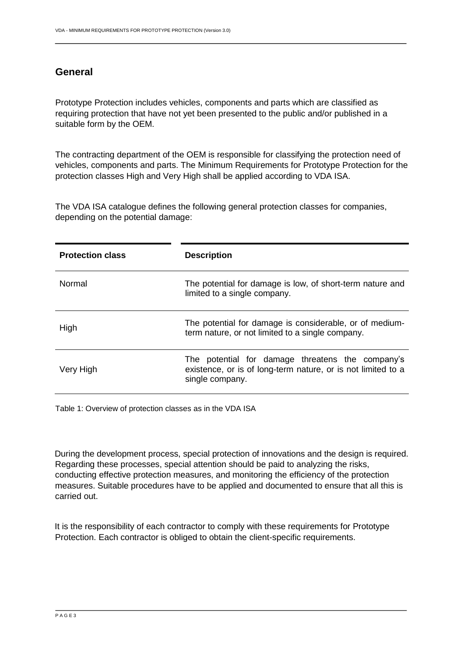# <span id="page-2-0"></span>**General**

Prototype Protection includes vehicles, components and parts which are classified as requiring protection that have not yet been presented to the public and/or published in a suitable form by the OEM.

The contracting department of the OEM is responsible for classifying the protection need of vehicles, components and parts. The Minimum Requirements for Prototype Protection for the protection classes High and Very High shall be applied according to VDA ISA.

The VDA ISA catalogue defines the following general protection classes for companies, depending on the potential damage:

| <b>Protection class</b> | <b>Description</b>                                                                                                                  |  |
|-------------------------|-------------------------------------------------------------------------------------------------------------------------------------|--|
| Normal                  | The potential for damage is low, of short-term nature and<br>limited to a single company.                                           |  |
| High                    | The potential for damage is considerable, or of medium-<br>term nature, or not limited to a single company.                         |  |
| Very High               | The potential for damage threatens the company's<br>existence, or is of long-term nature, or is not limited to a<br>single company. |  |

Table 1: Overview of protection classes as in the VDA ISA

During the development process, special protection of innovations and the design is required. Regarding these processes, special attention should be paid to analyzing the risks, conducting effective protection measures, and monitoring the efficiency of the protection measures. Suitable procedures have to be applied and documented to ensure that all this is carried out.

It is the responsibility of each contractor to comply with these requirements for Prototype Protection. Each contractor is obliged to obtain the client-specific requirements.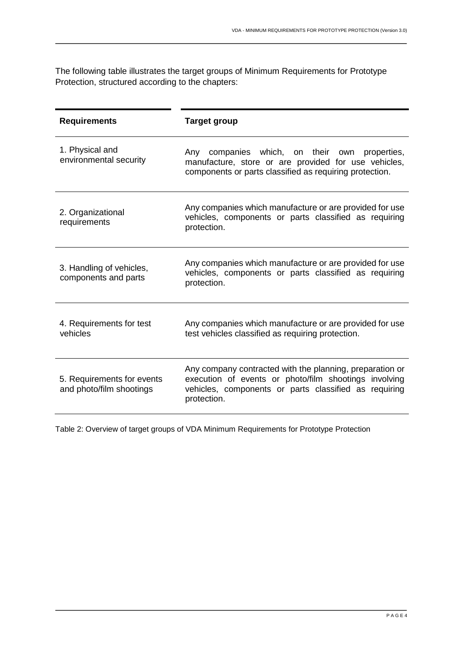The following table illustrates the target groups of Minimum Requirements for Prototype Protection, structured according to the chapters:

| <b>Requirements</b>                                    | <b>Target group</b>                                                                                                                                                                       |  |  |
|--------------------------------------------------------|-------------------------------------------------------------------------------------------------------------------------------------------------------------------------------------------|--|--|
| 1. Physical and<br>environmental security              | companies which, on their own properties,<br>Any<br>manufacture, store or are provided for use vehicles,<br>components or parts classified as requiring protection.                       |  |  |
| 2. Organizational<br>requirements                      | Any companies which manufacture or are provided for use<br>vehicles, components or parts classified as requiring<br>protection.                                                           |  |  |
| 3. Handling of vehicles,<br>components and parts       | Any companies which manufacture or are provided for use<br>vehicles, components or parts classified as requiring<br>protection.                                                           |  |  |
| 4. Requirements for test<br>vehicles                   | Any companies which manufacture or are provided for use<br>test vehicles classified as requiring protection.                                                                              |  |  |
| 5. Requirements for events<br>and photo/film shootings | Any company contracted with the planning, preparation or<br>execution of events or photo/film shootings involving<br>vehicles, components or parts classified as requiring<br>protection. |  |  |

Table 2: Overview of target groups of VDA Minimum Requirements for Prototype Protection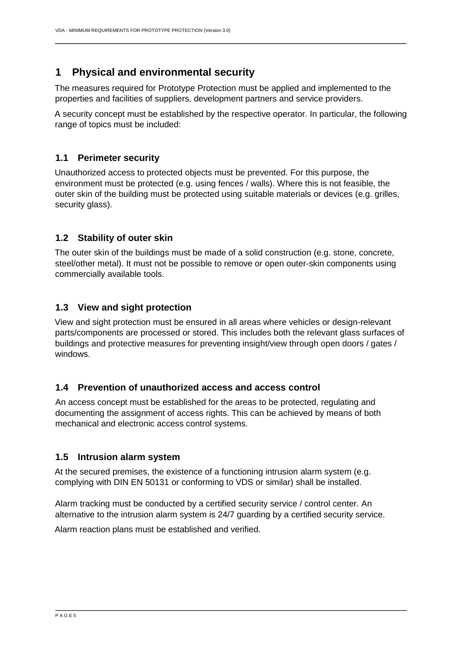# <span id="page-4-0"></span>**1 Physical and environmental security**

The measures required for Prototype Protection must be applied and implemented to the properties and facilities of suppliers, development partners and service providers.

A security concept must be established by the respective operator. In particular, the following range of topics must be included:

#### <span id="page-4-1"></span>**1.1 Perimeter security**

Unauthorized access to protected objects must be prevented. For this purpose, the environment must be protected (e.g. using fences / walls). Where this is not feasible, the outer skin of the building must be protected using suitable materials or devices (e.g. grilles, security glass).

#### <span id="page-4-2"></span>**1.2 Stability of outer skin**

The outer skin of the buildings must be made of a solid construction (e.g. stone, concrete, steel/other metal). It must not be possible to remove or open outer-skin components using commercially available tools.

#### <span id="page-4-3"></span>**1.3 View and sight protection**

View and sight protection must be ensured in all areas where vehicles or design-relevant parts/components are processed or stored. This includes both the relevant glass surfaces of buildings and protective measures for preventing insight/view through open doors / gates / windows.

#### <span id="page-4-4"></span>**1.4 Prevention of unauthorized access and access control**

An access concept must be established for the areas to be protected, regulating and documenting the assignment of access rights. This can be achieved by means of both mechanical and electronic access control systems.

#### <span id="page-4-5"></span>**1.5 Intrusion alarm system**

At the secured premises, the existence of a functioning intrusion alarm system (e.g. complying with DIN EN 50131 or conforming to VDS or similar) shall be installed.

Alarm tracking must be conducted by a certified security service / control center. An alternative to the intrusion alarm system is 24/7 guarding by a certified security service.

Alarm reaction plans must be established and verified.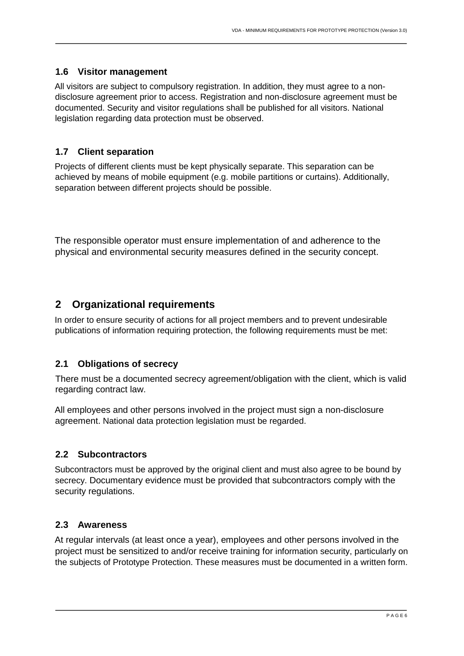#### <span id="page-5-0"></span>**1.6 Visitor management**

All visitors are subject to compulsory registration. In addition, they must agree to a nondisclosure agreement prior to access. Registration and non-disclosure agreement must be documented. Security and visitor regulations shall be published for all visitors. National legislation regarding data protection must be observed.

#### <span id="page-5-1"></span>**1.7 Client separation**

Projects of different clients must be kept physically separate. This separation can be achieved by means of mobile equipment (e.g. mobile partitions or curtains). Additionally, separation between different projects should be possible.

The responsible operator must ensure implementation of and adherence to the physical and environmental security measures defined in the security concept.

# <span id="page-5-2"></span>**2 Organizational requirements**

In order to ensure security of actions for all project members and to prevent undesirable publications of information requiring protection, the following requirements must be met:

#### <span id="page-5-3"></span>**2.1 Obligations of secrecy**

There must be a documented secrecy agreement/obligation with the client, which is valid regarding contract law.

All employees and other persons involved in the project must sign a non-disclosure agreement. National data protection legislation must be regarded.

#### <span id="page-5-4"></span>**2.2 Subcontractors**

Subcontractors must be approved by the original client and must also agree to be bound by secrecy. Documentary evidence must be provided that subcontractors comply with the security regulations.

#### <span id="page-5-5"></span>**2.3 Awareness**

At regular intervals (at least once a year), employees and other persons involved in the project must be sensitized to and/or receive training for information security, particularly on the subjects of Prototype Protection. These measures must be documented in a written form.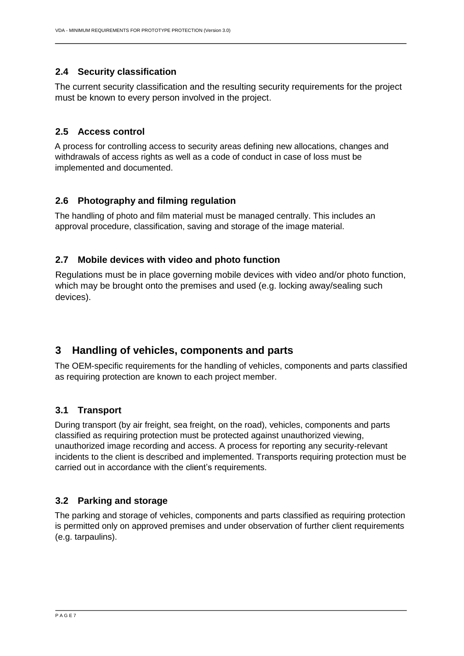#### <span id="page-6-0"></span>**2.4 Security classification**

The current security classification and the resulting security requirements for the project must be known to every person involved in the project.

#### <span id="page-6-1"></span>**2.5 Access control**

A process for controlling access to security areas defining new allocations, changes and withdrawals of access rights as well as a code of conduct in case of loss must be implemented and documented.

#### <span id="page-6-2"></span>**2.6 Photography and filming regulation**

The handling of photo and film material must be managed centrally. This includes an approval procedure, classification, saving and storage of the image material.

#### <span id="page-6-3"></span>**2.7 Mobile devices with video and photo function**

Regulations must be in place governing mobile devices with video and/or photo function, which may be brought onto the premises and used (e.g. locking away/sealing such devices).

# <span id="page-6-4"></span>**3 Handling of vehicles, components and parts**

The OEM-specific requirements for the handling of vehicles, components and parts classified as requiring protection are known to each project member.

#### <span id="page-6-5"></span>**3.1 Transport**

During transport (by air freight, sea freight, on the road), vehicles, components and parts classified as requiring protection must be protected against unauthorized viewing, unauthorized image recording and access. A process for reporting any security-relevant incidents to the client is described and implemented. Transports requiring protection must be carried out in accordance with the client's requirements.

#### <span id="page-6-6"></span>**3.2 Parking and storage**

The parking and storage of vehicles, components and parts classified as requiring protection is permitted only on approved premises and under observation of further client requirements (e.g. tarpaulins).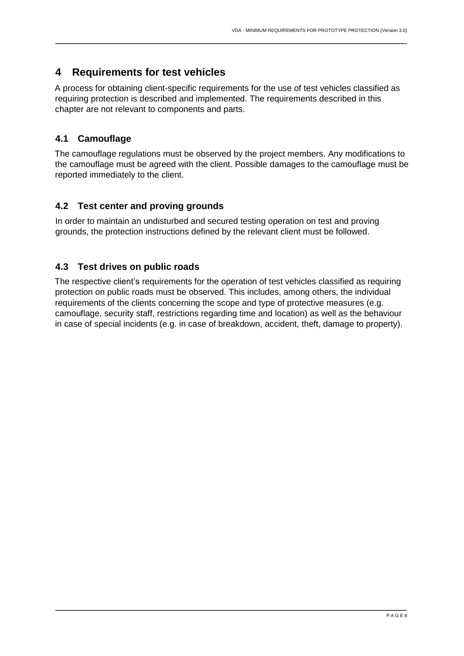# <span id="page-7-0"></span>**4 Requirements for test vehicles**

A process for obtaining client-specific requirements for the use of test vehicles classified as requiring protection is described and implemented. The requirements described in this chapter are not relevant to components and parts.

# <span id="page-7-1"></span>**4.1 Camouflage**

The camouflage regulations must be observed by the project members. Any modifications to the camouflage must be agreed with the client. Possible damages to the camouflage must be reported immediately to the client.

## <span id="page-7-2"></span>**4.2 Test center and proving grounds**

In order to maintain an undisturbed and secured testing operation on test and proving grounds, the protection instructions defined by the relevant client must be followed.

## <span id="page-7-3"></span>**4.3 Test drives on public roads**

The respective client's requirements for the operation of test vehicles classified as requiring protection on public roads must be observed. This includes, among others, the individual requirements of the clients concerning the scope and type of protective measures (e.g. camouflage, security staff, restrictions regarding time and location) as well as the behaviour in case of special incidents (e.g. in case of breakdown, accident, theft, damage to property).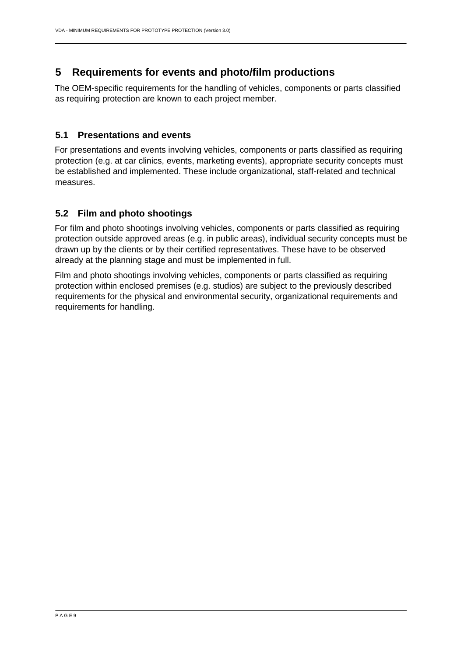# <span id="page-8-0"></span>**5 Requirements for events and photo/film productions**

The OEM-specific requirements for the handling of vehicles, components or parts classified as requiring protection are known to each project member.

#### <span id="page-8-1"></span>**5.1 Presentations and events**

For presentations and events involving vehicles, components or parts classified as requiring protection (e.g. at car clinics, events, marketing events), appropriate security concepts must be established and implemented. These include organizational, staff-related and technical measures.

## <span id="page-8-2"></span>**5.2 Film and photo shootings**

For film and photo shootings involving vehicles, components or parts classified as requiring protection outside approved areas (e.g. in public areas), individual security concepts must be drawn up by the clients or by their certified representatives. These have to be observed already at the planning stage and must be implemented in full.

Film and photo shootings involving vehicles, components or parts classified as requiring protection within enclosed premises (e.g. studios) are subject to the previously described requirements for the physical and environmental security, organizational requirements and requirements for handling.